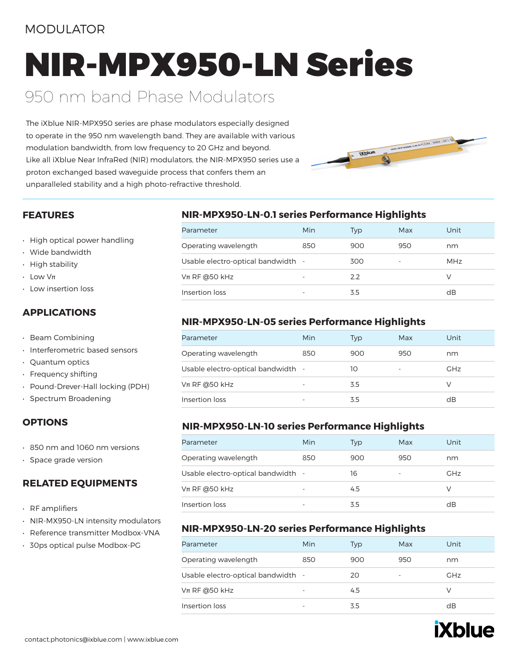#### MODULATOR

## NIR-MPX950-LN Series

### 950 nm band Phase Modulators

The iXblue NIR-MPX950 series are phase modulators especially designed to operate in the 950 nm wavelength band. They are available with various modulation bandwidth, from low frequency to 20 GHz and beyond. Like all iXblue Near InfraRed (NIR) modulators, the NIR-MPX950 series use a proton exchanged based waveguide process that confers them an unparalleled stability and a high photo-refractive threshold.

# ROUTE D'ANNE MARIA CONSERVATION

#### **FEATURES**

- High optical power handling
- Wide bandwidth
- High stability
- $\cdot$  Low V $\pi$
- Low insertion loss

#### **APPLICATIONS**

- Beam Combining
- Interferometric based sensors
- Quantum optics
- Frequency shifting
- Pound-Drever-Hall locking (PDH)
- Spectrum Broadening

#### **OPTIONS**

- 850 nm and 1060 nm versions
- Space grade version

#### **RELATED EQUIPMENTS**

- RF amplifiers
- NIR-MX950-LN intensity modulators
- Reference transmitter Modbox-VNA
- 30ps optical pulse Modbox-PG

#### **NIR-MPX950-LN-0.1 series Performance Highlights**

| Parameter                          | Min | Typ | Max                      | Unit       |
|------------------------------------|-----|-----|--------------------------|------------|
| Operating wavelength               | 850 | 900 | 950                      | nm         |
| Usable electro-optical bandwidth - |     | 300 | $\overline{\phantom{a}}$ | <b>MHz</b> |
| $Vπ$ RF @50 kHz                    | ۰   | 2.2 |                          | V          |
| Insertion loss                     |     | 3.5 |                          | dB         |

#### **NIR-MPX950-LN-05 series Performance Highlights**

| Parameter                          | Min | Typ | Max                      | Unit       |
|------------------------------------|-----|-----|--------------------------|------------|
| Operating wavelength               | 850 | 900 | 950                      | nm         |
| Usable electro-optical bandwidth - |     | 10  | $\overline{\phantom{a}}$ | <b>GHz</b> |
| $Vπ$ RF @50 kHz                    |     | 3.5 |                          | V          |
| Insertion loss                     |     | 3.5 |                          | dB         |

#### **NIR-MPX950-LN-10 series Performance Highlights**

| Parameter                          | Min | Typ | Max                      | Unit       |
|------------------------------------|-----|-----|--------------------------|------------|
| Operating wavelength               | 850 | 900 | 950                      | nm         |
| Usable electro-optical bandwidth - |     | 16  | $\overline{\phantom{a}}$ | <b>GHz</b> |
| $Vπ$ RF @50 kHz                    | -   | 4.5 |                          | V          |
| Insertion loss                     |     | 3.5 |                          | dB         |

#### **NIR-MPX950-LN-20 series Performance Highlights**

| Parameter                          | Min                      | Typ | Max | Unit       |
|------------------------------------|--------------------------|-----|-----|------------|
| Operating wavelength               | 850                      | 900 | 950 | nm         |
| Usable electro-optical bandwidth - |                          | 20  |     | <b>GHz</b> |
| $Vπ$ RF @50 kHz                    | $\overline{\phantom{0}}$ | 4.5 |     | V          |
| Insertion loss                     | $\overline{\phantom{a}}$ | 3.5 |     | dB         |

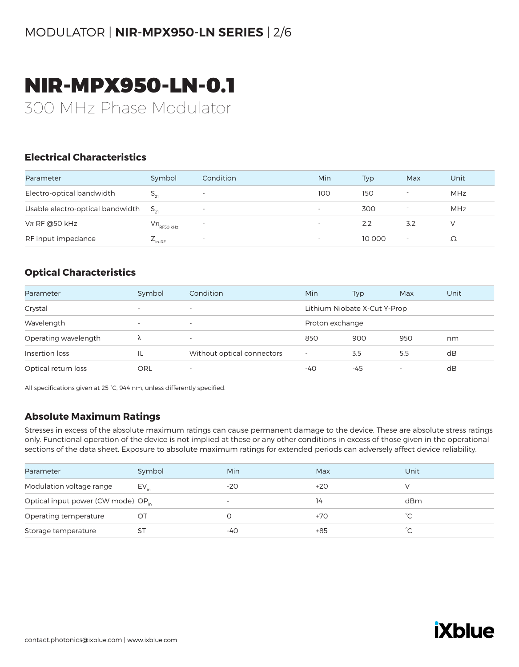## NIR-MPX950-LN-0.1

300 MHz Phase Modulator

#### **Electrical Characteristics**

| Parameter                                 | Symbol                     | Condition                | Min                      | Typ    | Max | Unit       |
|-------------------------------------------|----------------------------|--------------------------|--------------------------|--------|-----|------------|
| Electro-optical bandwidth                 |                            | $\overline{\phantom{a}}$ | 100                      | 150    |     | <b>MHz</b> |
| Usable electro-optical bandwidth $S_{21}$ |                            | $\overline{\phantom{a}}$ | $\overline{\phantom{a}}$ | 300    |     | MHz        |
| $Vπ$ RF @50 kHz                           | $V\pi$ <sub>RF50 kHz</sub> | $\overline{\phantom{0}}$ | $\overline{\phantom{a}}$ | 2.2    | 3.2 |            |
| RF input impedance                        | in-RF                      | $\overline{\phantom{a}}$ |                          | 10 000 |     |            |

#### **Optical Characteristics**

| Parameter            | Symbol                   | Condition                  | Min                          | Typ | Max | Unit |
|----------------------|--------------------------|----------------------------|------------------------------|-----|-----|------|
| Crystal              | $\overline{\phantom{a}}$ | $\overline{\phantom{a}}$   | Lithium Niobate X-Cut Y-Prop |     |     |      |
| Wavelength           | $\overline{\phantom{a}}$ | $\overline{\phantom{a}}$   | Proton exchange              |     |     |      |
| Operating wavelength |                          | $\overline{\phantom{a}}$   | 850                          | 900 | 950 | nm   |
| Insertion loss       | IL                       | Without optical connectors | $\overline{\phantom{a}}$     | 3.5 | 5.5 | dB   |
| Optical return loss  | ORL                      | $\overline{\phantom{a}}$   | -40                          | -45 | -   | dB   |

All specifications given at 25 °C, 944 nm, unless differently specified.

#### **Absolute Maximum Ratings**

| Parameter                                      | Symbol    | Min                      | Max   | Unit |
|------------------------------------------------|-----------|--------------------------|-------|------|
| Modulation voltage range                       | $EV_{in}$ | $-20$                    | $+20$ |      |
| Optical input power (CW mode) OP <sub>in</sub> |           | $\overline{\phantom{a}}$ | 14    | dBm  |
| Operating temperature                          | OТ        |                          | +70   |      |
| Storage temperature                            |           | -40                      | $+85$ |      |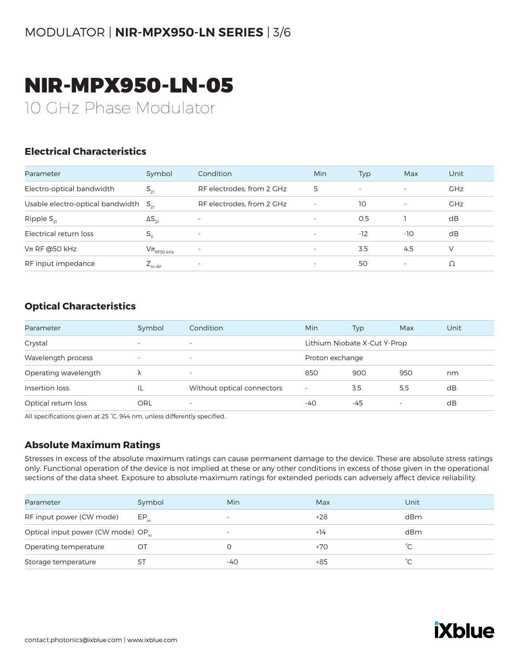## NIR-MPX950-LN-05

10 GHz Phase Modulator

#### **Electrical Characteristics**

| Parameter                                 | Symbol                              | Condition                 | Min                      | Typ                      | Max                      | Unit       |
|-------------------------------------------|-------------------------------------|---------------------------|--------------------------|--------------------------|--------------------------|------------|
| Electro-optical bandwidth                 | $S_{21}$                            | RF electrodes, from 2 GHz | 5                        | $\overline{\phantom{a}}$ | $\overline{\phantom{a}}$ | <b>GHz</b> |
| Usable electro-optical bandwidth $S_{21}$ |                                     | RF electrodes, from 2 GHz | $\overline{\phantom{a}}$ | 10                       | $\overline{\phantom{a}}$ | <b>GHz</b> |
| Ripple $S_{21}$                           | $\Delta S_{21}$                     | ٠                         | $\overline{\phantom{a}}$ | O.5                      |                          | dB         |
| Electrical return loss                    | $S_{11}$                            |                           | $\overline{\phantom{a}}$ | $-12$                    | $-10$                    | dB         |
| $Vπ$ RF @50 kHz                           | $\mathrm{V}\pi_{\textrm{RF50 kHz}}$ | ۰.                        | $\overline{\phantom{a}}$ | 3.5                      | 4.5                      | V          |
| RF input impedance                        | $L_{\text{in-RF}}$                  |                           | $\overline{\phantom{a}}$ | 50                       | $\overline{\phantom{a}}$ |            |

#### **Optical Characteristics**

| Parameter            | Symbol                   | Condition                  | Min                          | <b>Typ</b> | Max | Unit |
|----------------------|--------------------------|----------------------------|------------------------------|------------|-----|------|
| Crystal              | $\overline{\phantom{a}}$ | $\overline{\phantom{0}}$   | Lithium Niobate X-Cut Y-Prop |            |     |      |
| Wavelength process   | $\overline{\phantom{0}}$ | $\overline{\phantom{a}}$   | Proton exchange              |            |     |      |
| Operating wavelength | Λ                        | $\overline{\phantom{a}}$   | 850                          | 900        | 950 | nm   |
| Insertion loss       |                          | Without optical connectors | $\overline{\phantom{a}}$     | 3.5        | 5.5 | dB   |
| Optical return loss  | ORL                      | $\overline{\phantom{a}}$   | $-40$                        | -45        |     | dB   |

All specifications given at 25 °C, 944 nm, unless differently specified.

#### **Absolute Maximum Ratings**

| Parameter                                      | Symbol    | Min                      | Max   | Unit |
|------------------------------------------------|-----------|--------------------------|-------|------|
|                                                |           |                          |       |      |
| RF input power (CW mode)                       | $EP_{in}$ | $\overline{\phantom{0}}$ | +28   | dBm  |
| Optical input power (CW mode) OP <sub>in</sub> |           | $\overline{\phantom{0}}$ | $+14$ | dBm  |
| Operating temperature                          | $\circ$   |                          | +70   |      |
| Storage temperature                            | S1        | -40                      | +85   |      |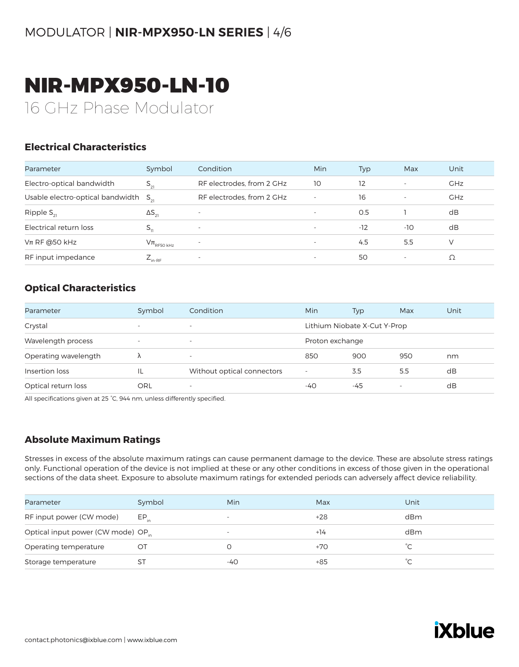## NIR-MPX950-LN-10

16 GHz Phase Modulator

#### **Electrical Characteristics**

| Parameter                                 | Symbol                     | Condition                 | Min                      | Typ   | Max                      | Unit       |
|-------------------------------------------|----------------------------|---------------------------|--------------------------|-------|--------------------------|------------|
| Electro-optical bandwidth                 | $S_{21}$                   | RF electrodes, from 2 GHz | 10                       | 12    | $\overline{\phantom{a}}$ | <b>GHz</b> |
| Usable electro-optical bandwidth $S_{21}$ |                            | RF electrodes, from 2 GHz | $\overline{\phantom{a}}$ | 16    | $\overline{\phantom{a}}$ | <b>GHz</b> |
| Ripple $S_{21}$                           | $\Delta S_{21}$            | $\overline{\phantom{a}}$  | $\overline{\phantom{a}}$ | O.5   |                          | dB         |
| Electrical return loss                    | $S_{11}$                   |                           | $\overline{\phantom{a}}$ | $-12$ | -10                      | dB         |
| $Vπ$ RF @50 kHz                           | $V\pi$ <sub>RF50 kHz</sub> |                           | $\overline{\phantom{a}}$ | 4.5   | 5.5                      | V          |
| RF input impedance                        | $L_{\text{in-RF}}$         | ۰                         | $\overline{\phantom{a}}$ | 50    | $\overline{\phantom{a}}$ | Ω          |

#### **Optical Characteristics**

| Parameter            | Symbol                   | Condition                  | Min                      | Typ                          | Max | Unit |  |
|----------------------|--------------------------|----------------------------|--------------------------|------------------------------|-----|------|--|
| Crystal              | $\overline{\phantom{a}}$ | $\overline{\phantom{a}}$   |                          | Lithium Niobate X-Cut Y-Prop |     |      |  |
| Wavelength process   | $\overline{\phantom{a}}$ | $\overline{\phantom{a}}$   |                          | Proton exchange              |     |      |  |
| Operating wavelength | λ                        | -                          | 850                      | 900                          | 950 | nm   |  |
| Insertion loss       | IL                       | Without optical connectors | $\overline{\phantom{a}}$ | 3.5                          | 5.5 | dB   |  |
| Optical return loss  | ORL                      | $\overline{\phantom{a}}$   | -40                      | -45                          |     | dB   |  |

All specifications given at 25 °C, 944 nm, unless differently specified.

#### **Absolute Maximum Ratings**

| Parameter                                      | Symbol    | Min                      | Max   | Unit |
|------------------------------------------------|-----------|--------------------------|-------|------|
| RF input power (CW mode)                       | $EP_{in}$ | $\overline{\phantom{0}}$ | +28   | dBm  |
| Optical input power (CW mode) OP <sub>in</sub> |           | $\overline{\phantom{a}}$ | $+14$ | dBm  |
| Operating temperature                          | ŐI        |                          | +70   |      |
| Storage temperature                            | S٦        | -40                      | +85   |      |

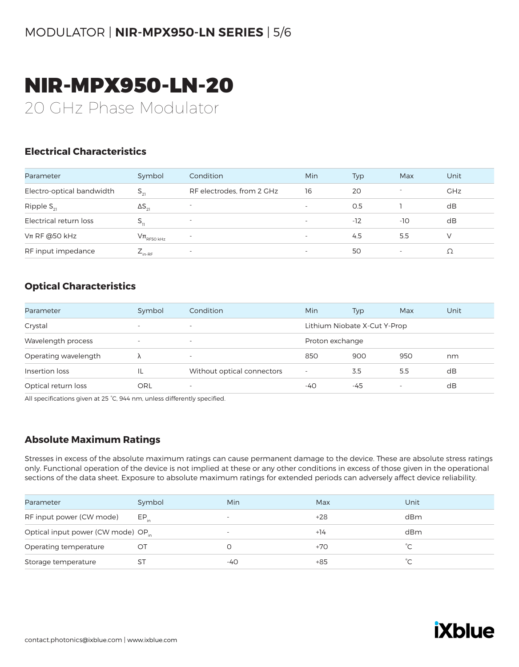## NIR-MPX950-LN-20

20 GHz Phase Modulator

#### **Electrical Characteristics**

| Parameter                 | Symbol                     | Condition                 | Min                      | Typ   | Max | Unit       |
|---------------------------|----------------------------|---------------------------|--------------------------|-------|-----|------------|
| Electro-optical bandwidth | $S_{21}$                   | RF electrodes, from 2 GHz | 16                       | 20    |     | <b>GHz</b> |
| Ripple $S_{21}$           | $\Delta S_{21}$            | -                         | $\overline{\phantom{0}}$ | 0.5   |     | dB         |
| Electrical return loss    |                            | $\overline{\phantom{a}}$  | $\overline{\phantom{a}}$ | $-12$ | -10 | dB         |
| $Vπ$ RF @50 kHz           | $V\pi$ <sub>RF50 kHz</sub> | $\overline{\phantom{a}}$  |                          | 4.5   | 5.5 | v          |
| RF input impedance        | $E_{\text{in-RF}}$         | $\overline{\phantom{a}}$  | $\overline{\phantom{a}}$ | 50    |     | Ω          |

#### **Optical Characteristics**

| Parameter            | Symbol                   | Condition                  | Min                      | Typ                          | Max | Unit |
|----------------------|--------------------------|----------------------------|--------------------------|------------------------------|-----|------|
| Crystal              | $\overline{\phantom{a}}$ | $\overline{\phantom{0}}$   |                          | Lithium Niobate X-Cut Y-Prop |     |      |
| Wavelength process   | $\overline{\phantom{a}}$ | $\overline{\phantom{a}}$   | Proton exchange          |                              |     |      |
| Operating wavelength | ٨                        | $\overline{\phantom{0}}$   | 850                      | 900                          | 950 | nm   |
| Insertion loss       | IL                       | Without optical connectors | $\overline{\phantom{a}}$ | 3.5                          | 5.5 | dB   |
| Optical return loss  | ORL                      | $\overline{\phantom{a}}$   | -40                      | -45                          | -   | dB   |

All specifications given at 25 °C, 944 nm, unless differently specified.

#### **Absolute Maximum Ratings**

| Parameter                                      | Symbol    | Min                      | Max   | Unit      |
|------------------------------------------------|-----------|--------------------------|-------|-----------|
| RF input power (CW mode)                       | $EP_{in}$ | $\overline{\phantom{0}}$ | $+28$ | dBm       |
| Optical input power (CW mode) OP <sub>in</sub> |           | $\overline{\phantom{a}}$ | $+14$ | dBm       |
| Operating temperature                          | Ö         |                          | +70   |           |
| Storage temperature                            | S٦        | -40                      | +85   | $\hat{C}$ |